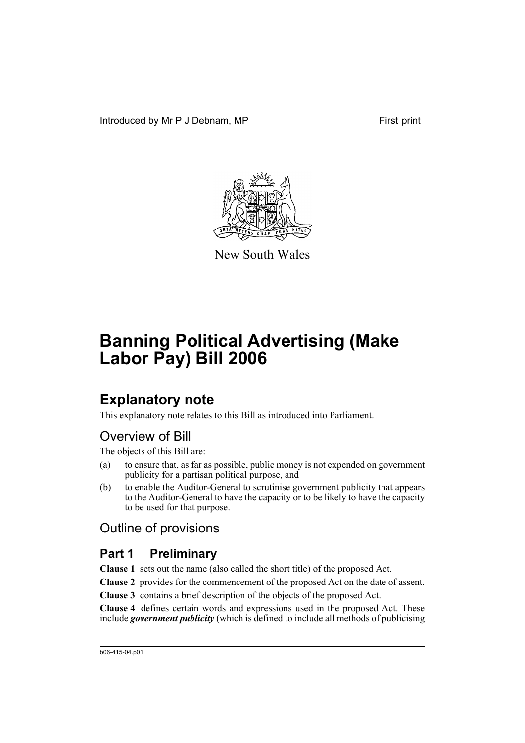Introduced by Mr P J Debnam, MP First print



New South Wales

# **Banning Political Advertising (Make Labor Pay) Bill 2006**

# **Explanatory note**

This explanatory note relates to this Bill as introduced into Parliament.

# Overview of Bill

The objects of this Bill are:

- (a) to ensure that, as far as possible, public money is not expended on government publicity for a partisan political purpose, and
- (b) to enable the Auditor-General to scrutinise government publicity that appears to the Auditor-General to have the capacity or to be likely to have the capacity to be used for that purpose.

# Outline of provisions

# **Part 1 Preliminary**

**Clause 1** sets out the name (also called the short title) of the proposed Act.

**Clause 2** provides for the commencement of the proposed Act on the date of assent.

**Clause 3** contains a brief description of the objects of the proposed Act.

**Clause 4** defines certain words and expressions used in the proposed Act. These include *government publicity* (which is defined to include all methods of publicising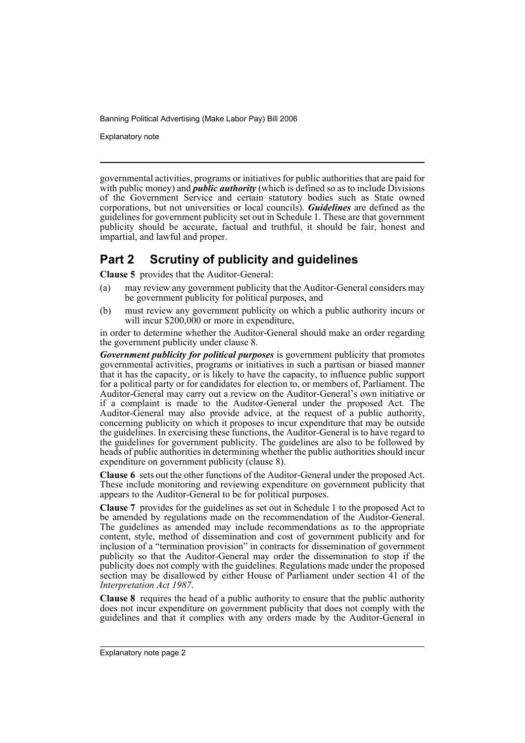Explanatory note

governmental activities, programs or initiatives for public authorities that are paid for with public money) and *public authority* (which is defined so as to include Divisions of the Government Service and certain statutory bodies such as State owned corporations, but not universities or local councils). *Guidelines* are defined as the guidelines for government publicity set out in Schedule 1. These are that government publicity should be accurate, factual and truthful, it should be fair, honest and impartial, and lawful and proper.

## **Part 2 Scrutiny of publicity and guidelines**

**Clause 5** provides that the Auditor-General:

- (a) may review any government publicity that the Auditor-General considers may be government publicity for political purposes, and
- (b) must review any government publicity on which a public authority incurs or will incur \$200,000 or more in expenditure,

in order to determine whether the Auditor-General should make an order regarding the government publicity under clause 8.

*Government publicity for political purposes* is government publicity that promotes governmental activities, programs or initiatives in such a partisan or biased manner that it has the capacity, or is likely to have the capacity, to influence public support for a political party or for candidates for election to, or members of, Parliament. The Auditor-General may carry out a review on the Auditor-General's own initiative or if a complaint is made to the Auditor-General under the proposed Act. The Auditor-General may also provide advice, at the request of a public authority, concerning publicity on which it proposes to incur expenditure that may be outside the guidelines. In exercising these functions, the Auditor-General is to have regard to the guidelines for government publicity. The guidelines are also to be followed by heads of public authorities in determining whether the public authorities should incur expenditure on government publicity (clause 8).

**Clause 6** sets out the other functions of the Auditor-General under the proposed Act. These include monitoring and reviewing expenditure on government publicity that appears to the Auditor-General to be for political purposes.

**Clause 7** provides for the guidelines as set out in Schedule 1 to the proposed Act to be amended by regulations made on the recommendation of the Auditor-General. The guidelines as amended may include recommendations as to the appropriate content, style, method of dissemination and cost of government publicity and for inclusion of a "termination provision" in contracts for dissemination of government publicity so that the Auditor-General may order the dissemination to stop if the publicity does not comply with the guidelines. Regulations made under the proposed section may be disallowed by either House of Parliament under section 41 of the *Interpretation Act 1987*.

**Clause 8** requires the head of a public authority to ensure that the public authority does not incur expenditure on government publicity that does not comply with the guidelines and that it complies with any orders made by the Auditor-General in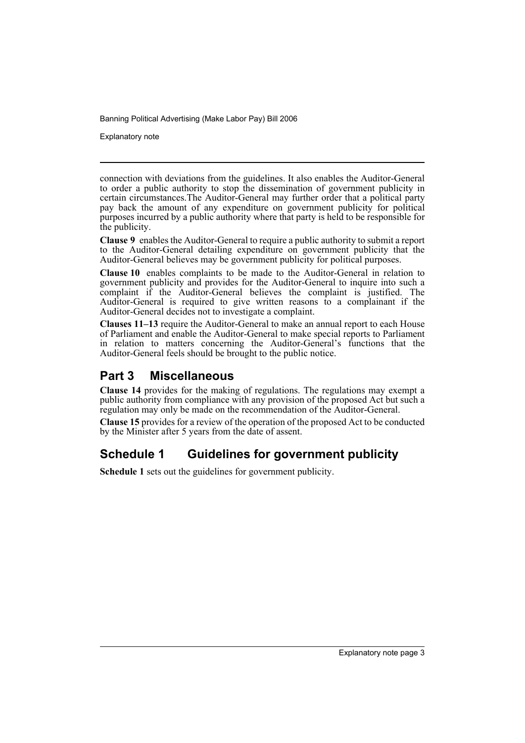Explanatory note

connection with deviations from the guidelines. It also enables the Auditor-General to order a public authority to stop the dissemination of government publicity in certain circumstances. The Auditor-General may further order that a political party pay back the amount of any expenditure on government publicity for political purposes incurred by a public authority where that party is held to be responsible for the publicity.

**Clause 9** enables the Auditor-General to require a public authority to submit a report to the Auditor-General detailing expenditure on government publicity that the Auditor-General believes may be government publicity for political purposes.

**Clause 10** enables complaints to be made to the Auditor-General in relation to government publicity and provides for the Auditor-General to inquire into such a complaint if the Auditor-General believes the complaint is justified. The Auditor-General is required to give written reasons to a complainant if the Auditor-General decides not to investigate a complaint.

**Clauses 11–13** require the Auditor-General to make an annual report to each House of Parliament and enable the Auditor-General to make special reports to Parliament in relation to matters concerning the Auditor-General's functions that the Auditor-General feels should be brought to the public notice.

## **Part 3 Miscellaneous**

**Clause 14** provides for the making of regulations. The regulations may exempt a public authority from compliance with any provision of the proposed Act but such a regulation may only be made on the recommendation of the Auditor-General.

**Clause 15** provides for a review of the operation of the proposed Act to be conducted by the Minister after 5 years from the date of assent.

# **Schedule 1 Guidelines for government publicity**

**Schedule 1** sets out the guidelines for government publicity.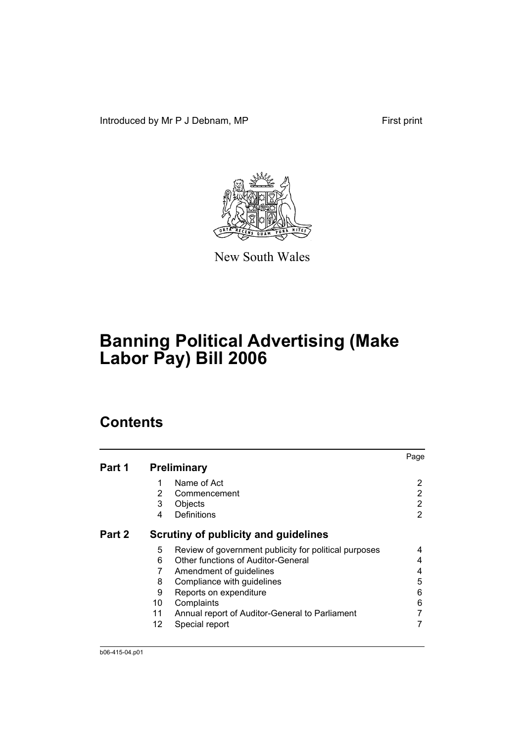Introduced by Mr P J Debnam, MP First print



New South Wales

# **Banning Political Advertising (Make Labor Pay) Bill 2006**

# **Contents**

|        |    |                                                       | Page |
|--------|----|-------------------------------------------------------|------|
| Part 1 |    | <b>Preliminary</b>                                    |      |
|        | 1  | Name of Act                                           | 2    |
|        | 2  | Commencement                                          | 2    |
|        | 3  | Objects                                               | 2    |
|        | 4  | Definitions                                           | 2    |
| Part 2 |    | Scrutiny of publicity and guidelines                  |      |
|        | 5  | Review of government publicity for political purposes | 4    |
|        | 6  | Other functions of Auditor-General                    | 4    |
|        | 7  | Amendment of guidelines                               | 4    |
|        | 8  | Compliance with guidelines                            | 5    |
|        | 9  | Reports on expenditure                                | 6    |
|        | 10 | Complaints                                            | 6    |
|        | 11 | Annual report of Auditor-General to Parliament        |      |
|        | 12 | Special report                                        |      |
|        |    |                                                       |      |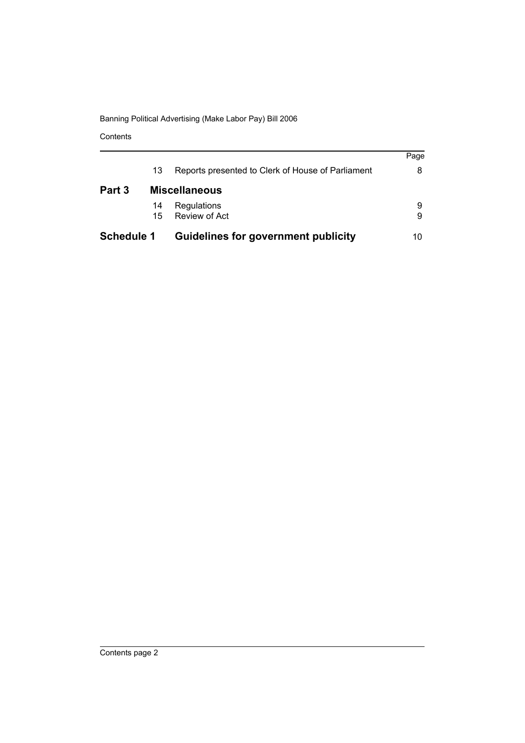Contents

| <b>Schedule 1</b> |    | <b>Guidelines for government publicity</b>        | 10   |
|-------------------|----|---------------------------------------------------|------|
|                   | 15 | Review of Act                                     | 9    |
|                   | 14 | Regulations                                       | 9    |
| Part 3            |    | <b>Miscellaneous</b>                              |      |
|                   | 13 | Reports presented to Clerk of House of Parliament | 8    |
|                   |    |                                                   | Page |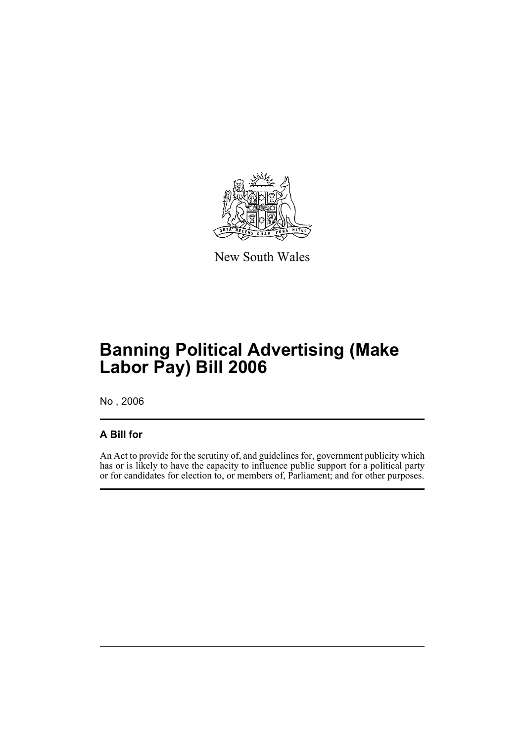

New South Wales

# **Banning Political Advertising (Make Labor Pay) Bill 2006**

No , 2006

### **A Bill for**

An Act to provide for the scrutiny of, and guidelines for, government publicity which has or is likely to have the capacity to influence public support for a political party or for candidates for election to, or members of, Parliament; and for other purposes.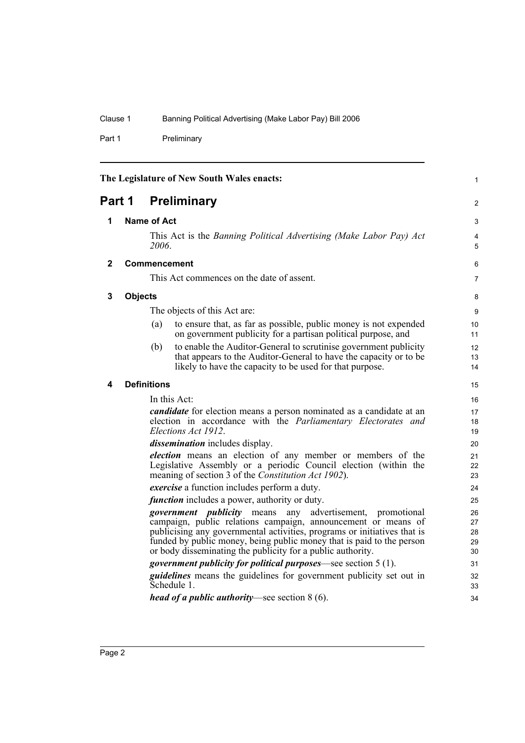Part 1 Preliminary

<span id="page-7-4"></span><span id="page-7-3"></span><span id="page-7-2"></span><span id="page-7-1"></span><span id="page-7-0"></span>

| The Legislature of New South Wales enacts: |                    |                                                                                                                                                                                                                                                                                                                                                          | 1                          |
|--------------------------------------------|--------------------|----------------------------------------------------------------------------------------------------------------------------------------------------------------------------------------------------------------------------------------------------------------------------------------------------------------------------------------------------------|----------------------------|
| <b>Preliminary</b><br>Part 1               |                    |                                                                                                                                                                                                                                                                                                                                                          |                            |
| 1                                          | <b>Name of Act</b> |                                                                                                                                                                                                                                                                                                                                                          | 3                          |
|                                            |                    | This Act is the Banning Political Advertising (Make Labor Pay) Act<br>2006.                                                                                                                                                                                                                                                                              | 4<br>5                     |
| $\mathbf{2}$                               |                    | <b>Commencement</b>                                                                                                                                                                                                                                                                                                                                      | 6                          |
|                                            |                    | This Act commences on the date of assent.                                                                                                                                                                                                                                                                                                                | $\overline{7}$             |
| 3                                          | <b>Objects</b>     |                                                                                                                                                                                                                                                                                                                                                          | 8                          |
|                                            |                    | The objects of this Act are:                                                                                                                                                                                                                                                                                                                             | 9                          |
|                                            |                    | to ensure that, as far as possible, public money is not expended<br>(a)<br>on government publicity for a partisan political purpose, and                                                                                                                                                                                                                 | 10<br>11                   |
|                                            |                    | to enable the Auditor-General to scrutinise government publicity<br>(b)<br>that appears to the Auditor-General to have the capacity or to be<br>likely to have the capacity to be used for that purpose.                                                                                                                                                 | 12<br>13<br>14             |
| 4                                          |                    | <b>Definitions</b>                                                                                                                                                                                                                                                                                                                                       | 15                         |
|                                            |                    | In this Act:                                                                                                                                                                                                                                                                                                                                             | 16                         |
|                                            |                    | <i>candidate</i> for election means a person nominated as a candidate at an<br>election in accordance with the Parliamentary Electorates and<br>Elections Act 1912.                                                                                                                                                                                      | 17<br>18<br>19             |
|                                            |                    | <i>dissemination</i> includes display.                                                                                                                                                                                                                                                                                                                   | 20                         |
|                                            |                    | <i>election</i> means an election of any member or members of the<br>Legislative Assembly or a periodic Council election (within the<br>meaning of section 3 of the Constitution Act 1902).                                                                                                                                                              | 21<br>22<br>23             |
|                                            |                    | <i>exercise</i> a function includes perform a duty.                                                                                                                                                                                                                                                                                                      | 24                         |
|                                            |                    | <i>function</i> includes a power, authority or duty.                                                                                                                                                                                                                                                                                                     | 25                         |
|                                            |                    | advertisement, promotional<br><i>government publicity</i> means any<br>campaign, public relations campaign, announcement or means of<br>publicising any governmental activities, programs or initiatives that is<br>funded by public money, being public money that is paid to the person<br>or body disseminating the publicity for a public authority. | 26<br>27<br>28<br>29<br>30 |
|                                            |                    | <i>government publicity for political purposes</i> —see section $5(1)$ .                                                                                                                                                                                                                                                                                 | 31                         |
|                                            |                    | <i>guidelines</i> means the guidelines for government publicity set out in<br>Schedule 1.                                                                                                                                                                                                                                                                | 32<br>33                   |
|                                            |                    | <i>head of a public authority</i> —see section $8(6)$ .                                                                                                                                                                                                                                                                                                  | 34                         |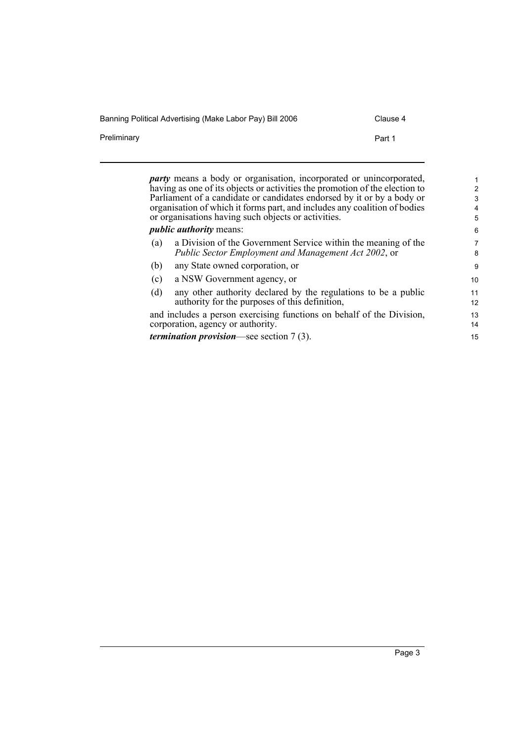| Banning Political Advertising (Make Labor Pay) Bill 2006 | Clause 4 |
|----------------------------------------------------------|----------|
| Preliminary                                              | Part 1   |

*party* means a body or organisation, incorporated or unincorporated, having as one of its objects or activities the promotion of the election to Parliament of a candidate or candidates endorsed by it or by a body or organisation of which it forms part, and includes any coalition of bodies or organisations having such objects or activities.

#### *public authority* means:

| (a) | a Division of the Government Service within the meaning of the<br><i>Public Sector Employment and Management Act 2002, or</i> | 7<br>8 |
|-----|-------------------------------------------------------------------------------------------------------------------------------|--------|
| (b) | any State owned corporation, or                                                                                               | -9     |
| (c) | a NSW Government agency, or                                                                                                   | 10     |
| (d) | any other authority declared by the regulations to be a public                                                                | 11     |

authority for the purposes of this definition, and includes a person exercising functions on behalf of the Division, corporation, agency or authority.

*termination provision*—see section 7 (3).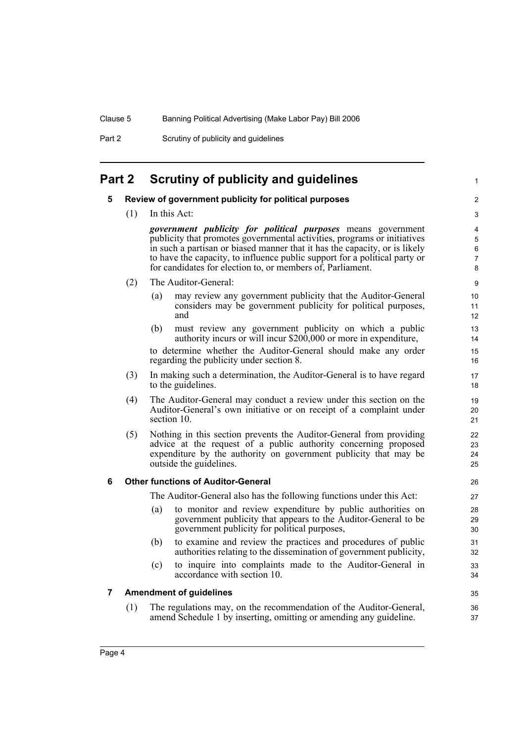Part 2 Scrutiny of publicity and guidelines

## <span id="page-9-1"></span><span id="page-9-0"></span>**Part 2 Scrutiny of publicity and guidelines**

#### **5 Review of government publicity for political purposes**

(1) In this Act:

*government publicity for political purposes* means government publicity that promotes governmental activities, programs or initiatives in such a partisan or biased manner that it has the capacity, or is likely to have the capacity, to influence public support for a political party or for candidates for election to, or members of, Parliament.

1

35 36 37

- (2) The Auditor-General:
	- (a) may review any government publicity that the Auditor-General considers may be government publicity for political purposes, and
	- (b) must review any government publicity on which a public authority incurs or will incur \$200,000 or more in expenditure,

to determine whether the Auditor-General should make any order regarding the publicity under section 8.

- (3) In making such a determination, the Auditor-General is to have regard to the guidelines.
- (4) The Auditor-General may conduct a review under this section on the Auditor-General's own initiative or on receipt of a complaint under section 10.
- (5) Nothing in this section prevents the Auditor-General from providing advice at the request of a public authority concerning proposed expenditure by the authority on government publicity that may be outside the guidelines.

#### <span id="page-9-2"></span>**6 Other functions of Auditor-General**

The Auditor-General also has the following functions under this Act:

- (a) to monitor and review expenditure by public authorities on government publicity that appears to the Auditor-General to be government publicity for political purposes,
- (b) to examine and review the practices and procedures of public authorities relating to the dissemination of government publicity,
- (c) to inquire into complaints made to the Auditor-General in accordance with section 10.

#### <span id="page-9-3"></span>**7 Amendment of guidelines**

(1) The regulations may, on the recommendation of the Auditor-General, amend Schedule 1 by inserting, omitting or amending any guideline.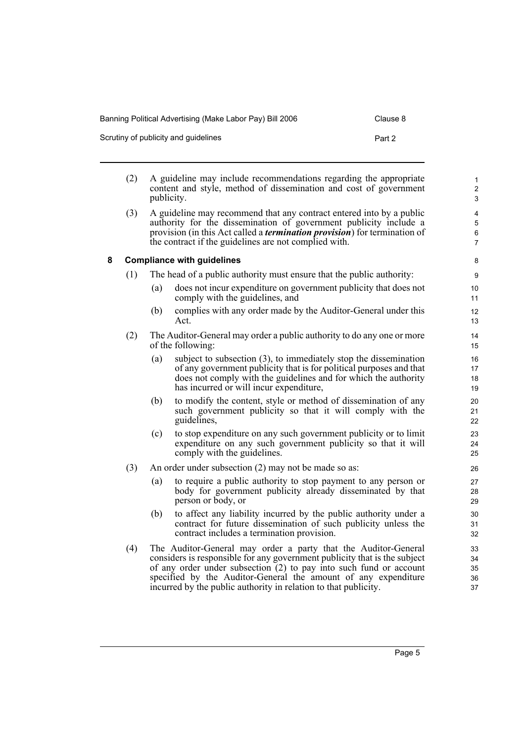| Banning Political Advertising (Make Labor Pay) Bill 2006 | Clause 8 |
|----------------------------------------------------------|----------|
| Scrutiny of publicity and quidelines                     | Part 2   |

<span id="page-10-0"></span>

|   | (2) | publicity. | A guideline may include recommendations regarding the appropriate<br>content and style, method of dissemination and cost of government                                                                                                                                                  | $\mathbf{1}$<br>$\overline{c}$<br>3              |
|---|-----|------------|-----------------------------------------------------------------------------------------------------------------------------------------------------------------------------------------------------------------------------------------------------------------------------------------|--------------------------------------------------|
|   | (3) |            | A guideline may recommend that any contract entered into by a public<br>authority for the dissemination of government publicity include a<br>provision (in this Act called a <i>termination provision</i> ) for termination of<br>the contract if the guidelines are not complied with. | 4<br>$\overline{5}$<br>$\,6\,$<br>$\overline{7}$ |
| 8 |     |            | <b>Compliance with guidelines</b>                                                                                                                                                                                                                                                       | 8                                                |
|   | (1) |            | The head of a public authority must ensure that the public authority:                                                                                                                                                                                                                   | 9                                                |
|   |     | (a)        | does not incur expenditure on government publicity that does not<br>comply with the guidelines, and                                                                                                                                                                                     | 10<br>11                                         |
|   |     | (b)        | complies with any order made by the Auditor-General under this<br>Act.                                                                                                                                                                                                                  | 12<br>13                                         |
|   | (2) |            | The Auditor-General may order a public authority to do any one or more<br>of the following:                                                                                                                                                                                             | 14<br>15                                         |
|   |     | (a)        | subject to subsection $(3)$ , to immediately stop the dissemination<br>of any government publicity that is for political purposes and that<br>does not comply with the guidelines and for which the authority<br>has incurred or will incur expenditure,                                | 16<br>17<br>18<br>19                             |
|   |     | (b)        | to modify the content, style or method of dissemination of any<br>such government publicity so that it will comply with the<br>guidelines,                                                                                                                                              | 20<br>21<br>22                                   |
|   |     | (c)        | to stop expenditure on any such government publicity or to limit<br>expenditure on any such government publicity so that it will<br>comply with the guidelines.                                                                                                                         | 23<br>24<br>25                                   |
|   | (3) |            | An order under subsection (2) may not be made so as:                                                                                                                                                                                                                                    | 26                                               |
|   |     | (a)        | to require a public authority to stop payment to any person or<br>body for government publicity already disseminated by that<br>person or body, or                                                                                                                                      | 27<br>28<br>29                                   |
|   |     | (b)        | to affect any liability incurred by the public authority under a<br>contract for future dissemination of such publicity unless the<br>contract includes a termination provision.                                                                                                        | 30<br>31<br>32                                   |
|   | (4) |            | The Auditor-General may order a party that the Auditor-General<br>considers is responsible for any government publicity that is the subject<br>of any order under subsection (2) to pay into such fund or account<br>specified by the Auditor-General the amount of any expenditure     | 33<br>34<br>35<br>36                             |

incurred by the public authority in relation to that publicity.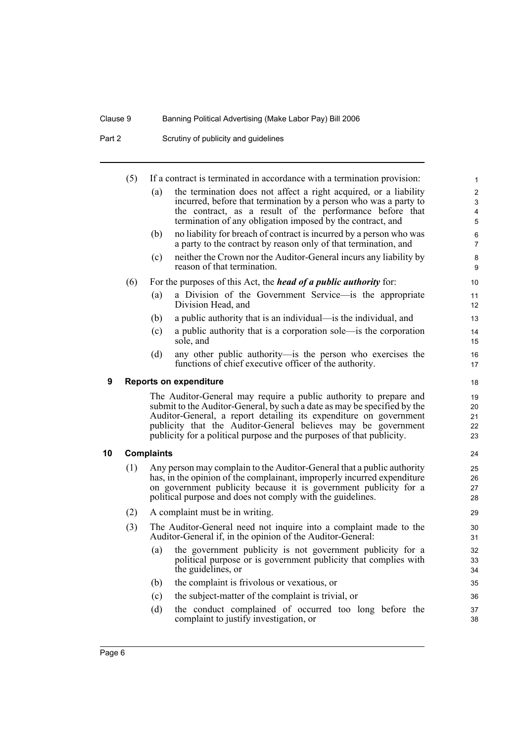Part 2 Scrutiny of publicity and guidelines

<span id="page-11-1"></span><span id="page-11-0"></span>

|    | (5)                                                                                                                                         |                   | If a contract is terminated in accordance with a termination provision:                                                                | 1                   |
|----|---------------------------------------------------------------------------------------------------------------------------------------------|-------------------|----------------------------------------------------------------------------------------------------------------------------------------|---------------------|
|    |                                                                                                                                             | (a)               | the termination does not affect a right acquired, or a liability                                                                       | 2                   |
|    |                                                                                                                                             |                   | incurred, before that termination by a person who was a party to                                                                       | $\mathsf 3$         |
|    |                                                                                                                                             |                   | the contract, as a result of the performance before that<br>termination of any obligation imposed by the contract, and                 | 4<br>5              |
|    |                                                                                                                                             | (b)               | no liability for breach of contract is incurred by a person who was<br>a party to the contract by reason only of that termination, and | 6<br>$\overline{7}$ |
|    |                                                                                                                                             | (c)               | neither the Crown nor the Auditor-General incurs any liability by<br>reason of that termination.                                       | 8<br>9              |
|    | (6)                                                                                                                                         |                   | For the purposes of this Act, the <i>head of a public authority</i> for:                                                               | 10                  |
|    |                                                                                                                                             | (a)               | a Division of the Government Service—is the appropriate<br>Division Head, and                                                          | 11<br>12            |
|    |                                                                                                                                             | (b)               | a public authority that is an individual—is the individual, and                                                                        | 13                  |
|    |                                                                                                                                             | (c)               | a public authority that is a corporation sole—is the corporation<br>sole, and                                                          | 14<br>15            |
|    |                                                                                                                                             | (d)               | any other public authority—is the person who exercises the<br>functions of chief executive officer of the authority.                   | 16<br>17            |
| 9  |                                                                                                                                             |                   | <b>Reports on expenditure</b>                                                                                                          | 18                  |
|    |                                                                                                                                             |                   | The Auditor-General may require a public authority to prepare and                                                                      | 19                  |
|    |                                                                                                                                             |                   | submit to the Auditor-General, by such a date as may be specified by the                                                               | 20                  |
|    |                                                                                                                                             |                   | Auditor-General, a report detailing its expenditure on government<br>publicity that the Auditor-General believes may be government     | 21<br>22            |
|    |                                                                                                                                             |                   | publicity for a political purpose and the purposes of that publicity.                                                                  | 23                  |
| 10 |                                                                                                                                             | <b>Complaints</b> |                                                                                                                                        | 24                  |
|    | (1)                                                                                                                                         |                   | Any person may complain to the Auditor-General that a public authority                                                                 | 25                  |
|    | has, in the opinion of the complainant, improperly incurred expenditure<br>on government publicity because it is government publicity for a |                   |                                                                                                                                        | 26                  |
|    |                                                                                                                                             |                   | political purpose and does not comply with the guidelines.                                                                             | 27<br>28            |
|    | (2)                                                                                                                                         |                   | A complaint must be in writing.                                                                                                        | 29                  |
|    | (3)                                                                                                                                         |                   | The Auditor-General need not inquire into a complaint made to the                                                                      | 30                  |
|    |                                                                                                                                             |                   | Auditor-General if, in the opinion of the Auditor-General:                                                                             | 31                  |
|    |                                                                                                                                             | (a)               | the government publicity is not government publicity for a                                                                             | 32                  |
|    |                                                                                                                                             |                   | political purpose or is government publicity that complies with<br>the guidelines, or                                                  | 33<br>34            |
|    |                                                                                                                                             | (b)               | the complaint is frivolous or vexatious, or                                                                                            | 35                  |
|    |                                                                                                                                             | (c)               | the subject-matter of the complaint is trivial, or                                                                                     | 36                  |
|    |                                                                                                                                             | (d)               | the conduct complained of occurred too long before the<br>complaint to justify investigation, or                                       | 37<br>38            |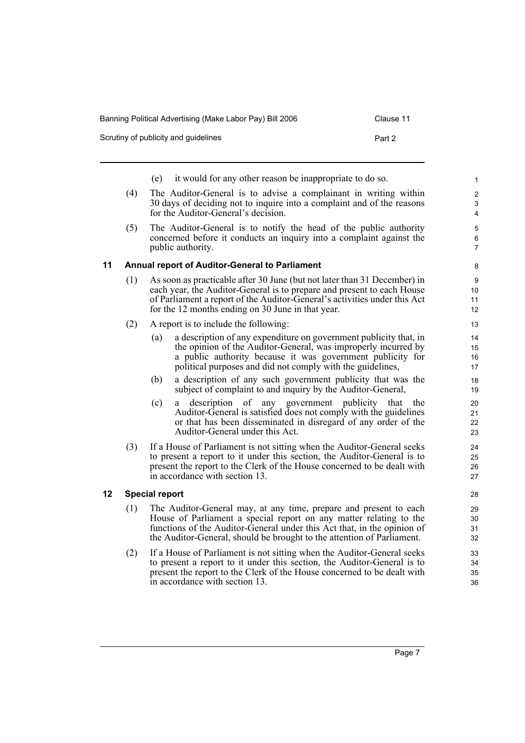| Clause 11 |
|-----------|
|           |

| Scrutiny of publicity and guidelines | Part 2                                                                                                                                                                            |  |
|--------------------------------------|-----------------------------------------------------------------------------------------------------------------------------------------------------------------------------------|--|
|                                      | it would for any other reason be inappropriate to do so.<br>(e)                                                                                                                   |  |
| (4)                                  | The Auditor-General is to advise a complainant in writing within<br>30 days of deciding not to inquire into a complaint and of the reasons<br>for the Auditor-General's decision. |  |
| (5)                                  | The Auditor-General is to notify the head of the public authority<br>concerned before it conducts an inquiry into a complaint against the                                         |  |

# cerned before it conducts an inquiry into a complaint against the public authority.

#### <span id="page-12-0"></span>**11 Annual report of Auditor-General to Parliament**

- (1) As soon as practicable after 30 June (but not later than 31 December) in each year, the Auditor-General is to prepare and present to each House of Parliament a report of the Auditor-General's activities under this Act for the 12 months ending on 30 June in that year.
- (2) A report is to include the following:
	- (a) a description of any expenditure on government publicity that, in the opinion of the Auditor-General, was improperly incurred by a public authority because it was government publicity for political purposes and did not comply with the guidelines,
	- (b) a description of any such government publicity that was the subject of complaint to and inquiry by the Auditor-General,
	- (c) a description of any government publicity that the Auditor-General is satisfied does not comply with the guidelines or that has been disseminated in disregard of any order of the Auditor-General under this Act.
- (3) If a House of Parliament is not sitting when the Auditor-General seeks to present a report to it under this section, the Auditor-General is to present the report to the Clerk of the House concerned to be dealt with in accordance with section 13.

### <span id="page-12-1"></span>**12 Special report**

- (1) The Auditor-General may, at any time, prepare and present to each House of Parliament a special report on any matter relating to the functions of the Auditor-General under this Act that, in the opinion of the Auditor-General, should be brought to the attention of Parliament.
- (2) If a House of Parliament is not sitting when the Auditor-General seeks to present a report to it under this section, the Auditor-General is to present the report to the Clerk of the House concerned to be dealt with in accordance with section 13.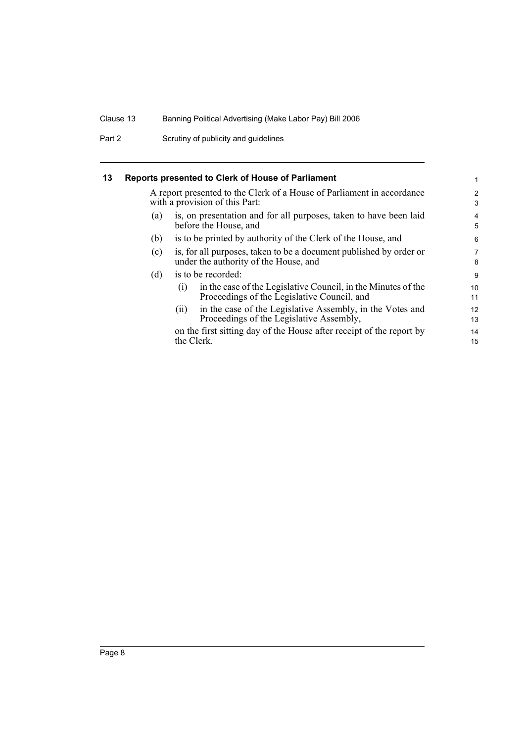Part 2 Scrutiny of publicity and guidelines

#### <span id="page-13-0"></span>**13 Reports presented to Clerk of House of Parliament**

A report presented to the Clerk of a House of Parliament in accordance with a provision of this Part:

- (a) is, on presentation and for all purposes, taken to have been laid before the House, and
- (b) is to be printed by authority of the Clerk of the House, and
- (c) is, for all purposes, taken to be a document published by order or under the authority of the House, and
- (d) is to be recorded:

| (i) | in the case of the Legislative Council, in the Minutes of the |
|-----|---------------------------------------------------------------|
|     | Proceedings of the Legislative Council, and                   |

(ii) in the case of the Legislative Assembly, in the Votes and Proceedings of the Legislative Assembly,

on the first sitting day of the House after receipt of the report by the Clerk.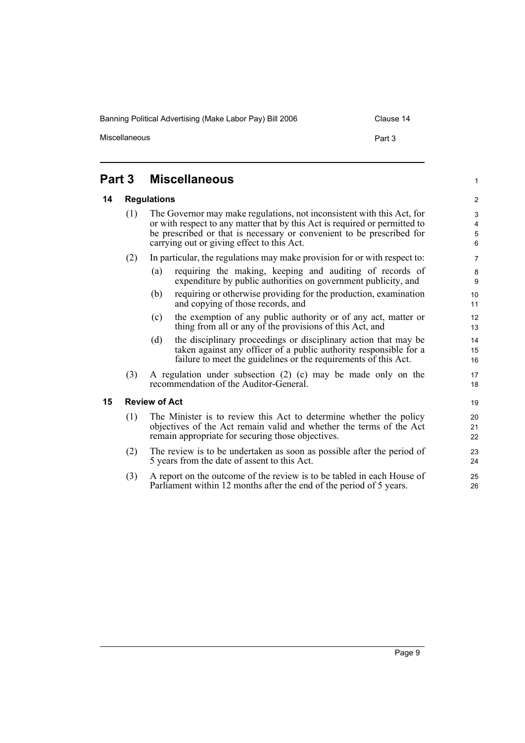Banning Political Advertising (Make Labor Pay) Bill 2006 Clause 14

Miscellaneous **Part 3** 

1

### <span id="page-14-0"></span>**Part 3 Miscellaneous**

#### <span id="page-14-1"></span>**14 Regulations**

(1) The Governor may make regulations, not inconsistent with this Act, for or with respect to any matter that by this Act is required or permitted to be prescribed or that is necessary or convenient to be prescribed for carrying out or giving effect to this Act.

#### (2) In particular, the regulations may make provision for or with respect to:

- (a) requiring the making, keeping and auditing of records of expenditure by public authorities on government publicity, and
- (b) requiring or otherwise providing for the production, examination and copying of those records, and
- (c) the exemption of any public authority or of any act, matter or thing from all or any of the provisions of this Act, and
- (d) the disciplinary proceedings or disciplinary action that may be taken against any officer of a public authority responsible for a failure to meet the guidelines or the requirements of this Act.
- (3) A regulation under subsection (2) (c) may be made only on the recommendation of the Auditor-General.

#### <span id="page-14-2"></span>**15 Review of Act**

- (1) The Minister is to review this Act to determine whether the policy objectives of the Act remain valid and whether the terms of the Act remain appropriate for securing those objectives.
- (2) The review is to be undertaken as soon as possible after the period of 5 years from the date of assent to this Act.
- (3) A report on the outcome of the review is to be tabled in each House of Parliament within 12 months after the end of the period of 5 years.